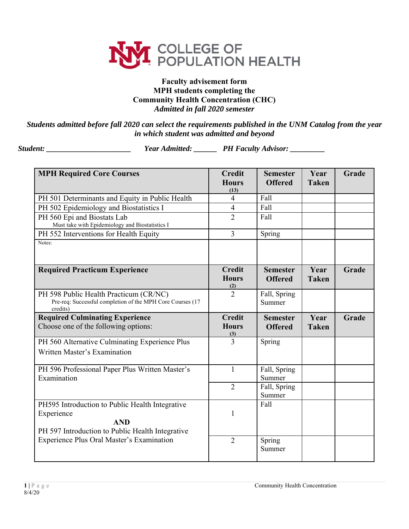

## **Faculty advisement form MPH students completing the Community Health Concentration (CHC)** *Admitted in fall 2020 semester*

*Students admitted before fall 2020 can select the requirements published in the UNM Catalog from the year in which student was admitted and beyond* 

*Student: \_\_\_\_\_\_\_\_\_\_\_\_\_\_\_\_\_\_\_\_\_\_ Year Admitted: \_\_\_\_\_\_ PH Faculty Advisor: \_\_\_\_\_\_\_\_\_* 

| <b>MPH Required Core Courses</b>                                                                                                | <b>Credit</b><br><b>Hours</b>        | <b>Semester</b><br><b>Offered</b> | Year<br><b>Taken</b> | Grade |
|---------------------------------------------------------------------------------------------------------------------------------|--------------------------------------|-----------------------------------|----------------------|-------|
| PH 501 Determinants and Equity in Public Health                                                                                 | (13)<br>4                            | Fall                              |                      |       |
| PH 502 Epidemiology and Biostatistics I                                                                                         | $\overline{4}$                       | Fall                              |                      |       |
| PH 560 Epi and Biostats Lab<br>Must take with Epidemiology and Biostatistics I                                                  | $\overline{2}$                       | Fall                              |                      |       |
| PH 552 Interventions for Health Equity                                                                                          | $\overline{3}$                       | Spring                            |                      |       |
| Notes:                                                                                                                          |                                      |                                   |                      |       |
| <b>Required Practicum Experience</b>                                                                                            | <b>Credit</b><br><b>Hours</b><br>(2) | <b>Semester</b><br><b>Offered</b> | Year<br><b>Taken</b> | Grade |
| PH 598 Public Health Practicum (CR/NC)<br>Pre-req: Successful completion of the MPH Core Courses (17<br>credits)                | $\overline{2}$                       | Fall, Spring<br>Summer            |                      |       |
| <b>Required Culminating Experience</b><br>Choose one of the following options:                                                  | <b>Credit</b><br><b>Hours</b><br>(3) | <b>Semester</b><br><b>Offered</b> | Year<br><b>Taken</b> | Grade |
| PH 560 Alternative Culminating Experience Plus                                                                                  | 3                                    | Spring                            |                      |       |
| Written Master's Examination                                                                                                    |                                      |                                   |                      |       |
| PH 596 Professional Paper Plus Written Master's<br>Examination                                                                  | $\mathbf{1}$                         | Fall, Spring<br>Summer            |                      |       |
|                                                                                                                                 | $\overline{2}$                       | Fall, Spring<br>Summer            |                      |       |
| PH595 Introduction to Public Health Integrative<br>Experience<br><b>AND</b><br>PH 597 Introduction to Public Health Integrative | 1                                    | Fall                              |                      |       |
| Experience Plus Oral Master's Examination                                                                                       | $\overline{2}$                       | Spring<br>Summer                  |                      |       |